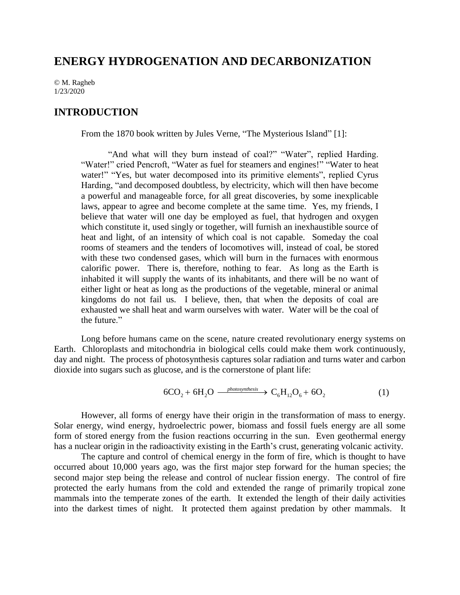# **ENERGY HYDROGENATION AND DECARBONIZATION**

© M. Ragheb 1/23/2020

### **INTRODUCTION**

From the 1870 book written by Jules Verne, "The Mysterious Island" [1]:

"And what will they burn instead of coal?" "Water", replied Harding. "Water!" cried Pencroft, "Water as fuel for steamers and engines!" "Water to heat water!" "Yes, but water decomposed into its primitive elements", replied Cyrus Harding, "and decomposed doubtless, by electricity, which will then have become a powerful and manageable force, for all great discoveries, by some inexplicable laws, appear to agree and become complete at the same time. Yes, my friends, I believe that water will one day be employed as fuel, that hydrogen and oxygen which constitute it, used singly or together, will furnish an inexhaustible source of heat and light, of an intensity of which coal is not capable. Someday the coal rooms of steamers and the tenders of locomotives will, instead of coal, be stored with these two condensed gases, which will burn in the furnaces with enormous calorific power. There is, therefore, nothing to fear. As long as the Earth is inhabited it will supply the wants of its inhabitants, and there will be no want of either light or heat as long as the productions of the vegetable, mineral or animal kingdoms do not fail us. I believe, then, that when the deposits of coal are exhausted we shall heat and warm ourselves with water. Water will be the coal of the future."

Long before humans came on the scene, nature created revolutionary energy systems on Earth. Chloroplasts and mitochondria in biological cells could make them work continuously, day and night. The process of photosynthesis captures solar radiation and turns water and carbon dioxide into sugars such as glucose, and is the cornerstone of plant life:

$$
6CO2 + 6H2O \xrightarrow{\text{photosynthesis}} C6H12O6 + 6O2
$$
 (1)

However, all forms of energy have their origin in the transformation of mass to energy. Solar energy, wind energy, hydroelectric power, biomass and fossil fuels energy are all some form of stored energy from the fusion reactions occurring in the sun. Even geothermal energy has a nuclear origin in the radioactivity existing in the Earth's crust, generating volcanic activity.

The capture and control of chemical energy in the form of fire, which is thought to have occurred about 10,000 years ago, was the first major step forward for the human species; the second major step being the release and control of nuclear fission energy. The control of fire protected the early humans from the cold and extended the range of primarily tropical zone mammals into the temperate zones of the earth. It extended the length of their daily activities into the darkest times of night. It protected them against predation by other mammals. It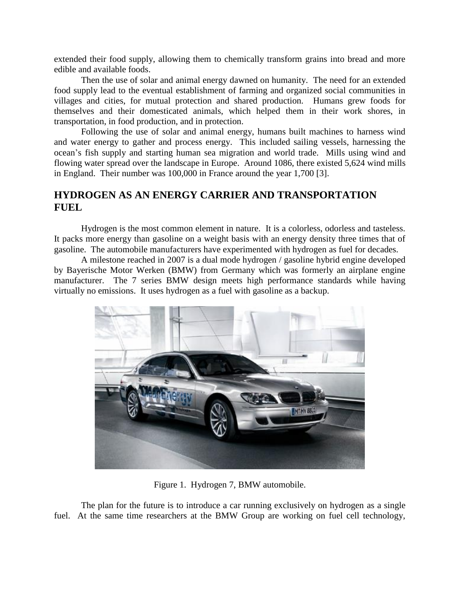extended their food supply, allowing them to chemically transform grains into bread and more edible and available foods.

Then the use of solar and animal energy dawned on humanity. The need for an extended food supply lead to the eventual establishment of farming and organized social communities in villages and cities, for mutual protection and shared production. Humans grew foods for themselves and their domesticated animals, which helped them in their work shores, in transportation, in food production, and in protection.

Following the use of solar and animal energy, humans built machines to harness wind and water energy to gather and process energy. This included sailing vessels, harnessing the ocean's fish supply and starting human sea migration and world trade. Mills using wind and flowing water spread over the landscape in Europe. Around 1086, there existed 5,624 wind mills in England. Their number was 100,000 in France around the year 1,700 [3].

## **HYDROGEN AS AN ENERGY CARRIER AND TRANSPORTATION FUEL**

Hydrogen is the most common element in nature. It is a colorless, odorless and tasteless. It packs more energy than gasoline on a weight basis with an energy density three times that of gasoline. The automobile manufacturers have experimented with hydrogen as fuel for decades.

A milestone reached in 2007 is a dual mode hydrogen / gasoline hybrid engine developed by Bayerische Motor Werken (BMW) from Germany which was formerly an airplane engine manufacturer. The 7 series BMW design meets high performance standards while having virtually no emissions. It uses hydrogen as a fuel with gasoline as a backup.



Figure 1. Hydrogen 7, BMW automobile.

The plan for the future is to introduce a car running exclusively on hydrogen as a single fuel. At the same time researchers at the BMW Group are working on fuel cell technology,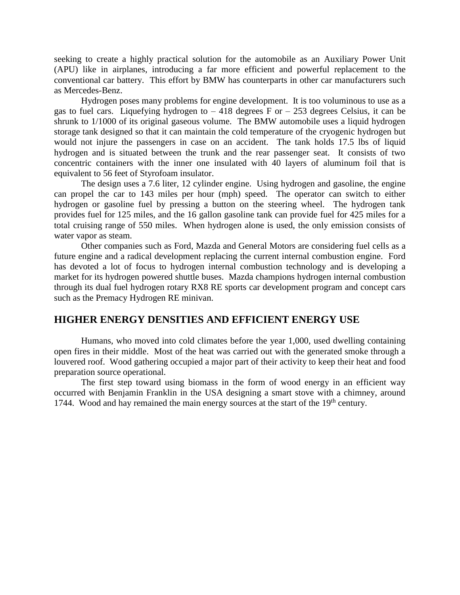seeking to create a highly practical solution for the automobile as an Auxiliary Power Unit (APU) like in airplanes, introducing a far more efficient and powerful replacement to the conventional car battery. This effort by BMW has counterparts in other car manufacturers such as Mercedes-Benz.

Hydrogen poses many problems for engine development. It is too voluminous to use as a gas to fuel cars. Liquefying hydrogen to  $-418$  degrees F or  $-253$  degrees Celsius, it can be shrunk to 1/1000 of its original gaseous volume. The BMW automobile uses a liquid hydrogen storage tank designed so that it can maintain the cold temperature of the cryogenic hydrogen but would not injure the passengers in case on an accident. The tank holds 17.5 lbs of liquid hydrogen and is situated between the trunk and the rear passenger seat. It consists of two concentric containers with the inner one insulated with 40 layers of aluminum foil that is equivalent to 56 feet of Styrofoam insulator.

The design uses a 7.6 liter, 12 cylinder engine. Using hydrogen and gasoline, the engine can propel the car to 143 miles per hour (mph) speed. The operator can switch to either hydrogen or gasoline fuel by pressing a button on the steering wheel. The hydrogen tank provides fuel for 125 miles, and the 16 gallon gasoline tank can provide fuel for 425 miles for a total cruising range of 550 miles. When hydrogen alone is used, the only emission consists of water vapor as steam.

Other companies such as Ford, Mazda and General Motors are considering fuel cells as a future engine and a radical development replacing the current internal combustion engine. Ford has devoted a lot of focus to hydrogen internal combustion technology and is developing a market for its hydrogen powered shuttle buses. Mazda champions hydrogen internal combustion through its dual fuel hydrogen rotary RX8 RE sports car development program and concept cars such as the Premacy Hydrogen RE minivan.

## **HIGHER ENERGY DENSITIES AND EFFICIENT ENERGY USE**

Humans, who moved into cold climates before the year 1,000, used dwelling containing open fires in their middle. Most of the heat was carried out with the generated smoke through a louvered roof. Wood gathering occupied a major part of their activity to keep their heat and food preparation source operational.

The first step toward using biomass in the form of wood energy in an efficient way occurred with Benjamin Franklin in the USA designing a smart stove with a chimney, around 1744. Wood and hay remained the main energy sources at the start of the 19<sup>th</sup> century.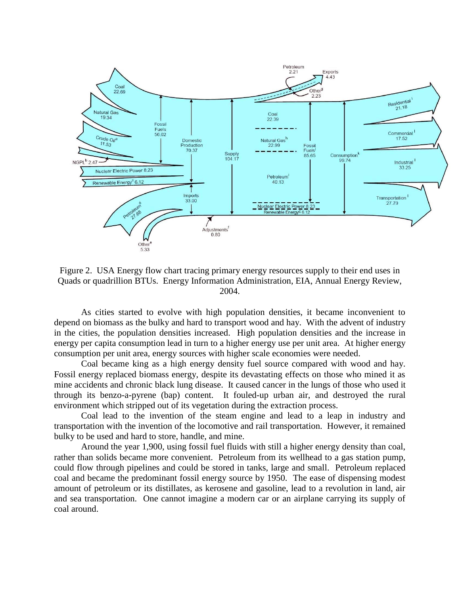

Figure 2. USA Energy flow chart tracing primary energy resources supply to their end uses in Quads or quadrillion BTUs. Energy Information Administration, EIA, Annual Energy Review, 2004.

As cities started to evolve with high population densities, it became inconvenient to depend on biomass as the bulky and hard to transport wood and hay. With the advent of industry in the cities, the population densities increased. High population densities and the increase in energy per capita consumption lead in turn to a higher energy use per unit area. At higher energy consumption per unit area, energy sources with higher scale economies were needed.

Coal became king as a high energy density fuel source compared with wood and hay. Fossil energy replaced biomass energy, despite its devastating effects on those who mined it as mine accidents and chronic black lung disease. It caused cancer in the lungs of those who used it through its benzo-a-pyrene (bap) content. It fouled-up urban air, and destroyed the rural environment which stripped out of its vegetation during the extraction process.

Coal lead to the invention of the steam engine and lead to a leap in industry and transportation with the invention of the locomotive and rail transportation. However, it remained bulky to be used and hard to store, handle, and mine.

Around the year 1,900, using fossil fuel fluids with still a higher energy density than coal, rather than solids became more convenient. Petroleum from its wellhead to a gas station pump, could flow through pipelines and could be stored in tanks, large and small. Petroleum replaced coal and became the predominant fossil energy source by 1950. The ease of dispensing modest amount of petroleum or its distillates, as kerosene and gasoline, lead to a revolution in land, air and sea transportation. One cannot imagine a modern car or an airplane carrying its supply of coal around.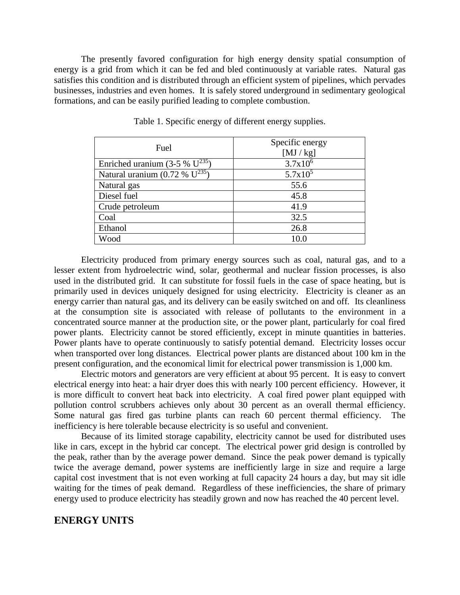The presently favored configuration for high energy density spatial consumption of energy is a grid from which it can be fed and bled continuously at variable rates. Natural gas satisfies this condition and is distributed through an efficient system of pipelines, which pervades businesses, industries and even homes. It is safely stored underground in sedimentary geological formations, and can be easily purified leading to complete combustion.

| Fuel                                       | Specific energy<br>[MJ/kg] |  |
|--------------------------------------------|----------------------------|--|
| Enriched uranium (3-5 % $U^{235}$ )        | $3.7x10^{6}$               |  |
| Natural uranium $(0.72\% \text{ U}^{235})$ | $5.7x10^5$                 |  |
| Natural gas                                | 55.6                       |  |
| Diesel fuel                                | 45.8                       |  |
| Crude petroleum                            | 41.9                       |  |
| Coal                                       | 32.5                       |  |
| Ethanol                                    | 26.8                       |  |
| Wood                                       | 10.0                       |  |

Table 1. Specific energy of different energy supplies.

Electricity produced from primary energy sources such as coal, natural gas, and to a lesser extent from hydroelectric wind, solar, geothermal and nuclear fission processes, is also used in the distributed grid. It can substitute for fossil fuels in the case of space heating, but is primarily used in devices uniquely designed for using electricity. Electricity is cleaner as an energy carrier than natural gas, and its delivery can be easily switched on and off. Its cleanliness at the consumption site is associated with release of pollutants to the environment in a concentrated source manner at the production site, or the power plant, particularly for coal fired power plants. Electricity cannot be stored efficiently, except in minute quantities in batteries. Power plants have to operate continuously to satisfy potential demand. Electricity losses occur when transported over long distances. Electrical power plants are distanced about 100 km in the present configuration, and the economical limit for electrical power transmission is 1,000 km.

Electric motors and generators are very efficient at about 95 percent. It is easy to convert electrical energy into heat: a hair dryer does this with nearly 100 percent efficiency. However, it is more difficult to convert heat back into electricity. A coal fired power plant equipped with pollution control scrubbers achieves only about 30 percent as an overall thermal efficiency. Some natural gas fired gas turbine plants can reach 60 percent thermal efficiency. The inefficiency is here tolerable because electricity is so useful and convenient.

Because of its limited storage capability, electricity cannot be used for distributed uses like in cars, except in the hybrid car concept. The electrical power grid design is controlled by the peak, rather than by the average power demand. Since the peak power demand is typically twice the average demand, power systems are inefficiently large in size and require a large capital cost investment that is not even working at full capacity 24 hours a day, but may sit idle waiting for the times of peak demand. Regardless of these inefficiencies, the share of primary energy used to produce electricity has steadily grown and now has reached the 40 percent level.

## **ENERGY UNITS**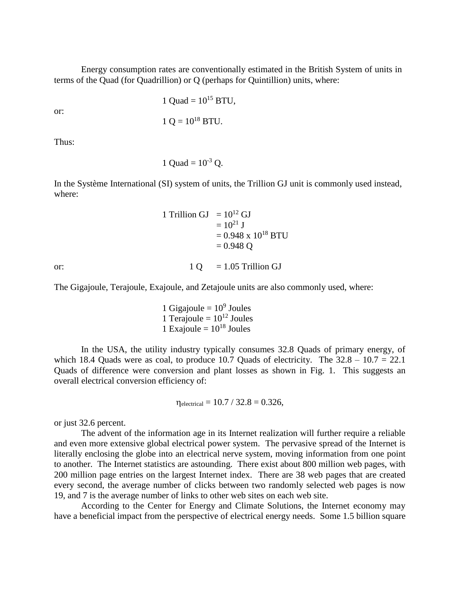Energy consumption rates are conventionally estimated in the British System of units in terms of the Quad (for Quadrillion) or Q (perhaps for Quintillion) units, where:

or:

$$
1 \text{ Quad} = 10^{15} \text{ BTU},
$$

$$
1 Q = 10^{18}
$$
 BTU.

Thus:

1 Ouad =  $10^{-3}$  O.

In the Système International (SI) system of units, the Trillion GJ unit is commonly used instead, where:

> 1 Trillion GJ =  $10^{12}$  GJ  $= 10^{21}$  J  $= 0.948 \times 10^{18}$  BTU  $= 0.948$  Q

or:  $1 \text{ O} = 1.05 \text{ Trillion GJ}$ 

The Gigajoule, Terajoule, Exajoule, and Zetajoule units are also commonly used, where:

1 Gigajoule =  $10<sup>9</sup>$  Joules 1 Teraioule =  $10^{12}$  Joules 1 Exajoule =  $10^{18}$  Joules

In the USA, the utility industry typically consumes 32.8 Quads of primary energy, of which 18.4 Quads were as coal, to produce 10.7 Quads of electricity. The  $32.8 - 10.7 = 22.1$ Quads of difference were conversion and plant losses as shown in Fig. 1. This suggests an overall electrical conversion efficiency of:

$$
\eta_{electrical} = 10.7 / 32.8 = 0.326,
$$

or just 32.6 percent.

The advent of the information age in its Internet realization will further require a reliable and even more extensive global electrical power system. The pervasive spread of the Internet is literally enclosing the globe into an electrical nerve system, moving information from one point to another. The Internet statistics are astounding. There exist about 800 million web pages, with 200 million page entries on the largest Internet index. There are 38 web pages that are created every second, the average number of clicks between two randomly selected web pages is now 19, and 7 is the average number of links to other web sites on each web site.

According to the Center for Energy and Climate Solutions, the Internet economy may have a beneficial impact from the perspective of electrical energy needs. Some 1.5 billion square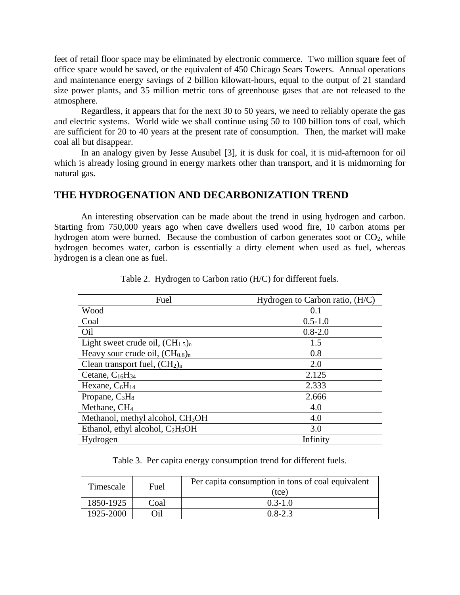feet of retail floor space may be eliminated by electronic commerce. Two million square feet of office space would be saved, or the equivalent of 450 Chicago Sears Towers. Annual operations and maintenance energy savings of 2 billion kilowatt-hours, equal to the output of 21 standard size power plants, and 35 million metric tons of greenhouse gases that are not released to the atmosphere.

Regardless, it appears that for the next 30 to 50 years, we need to reliably operate the gas and electric systems. World wide we shall continue using 50 to 100 billion tons of coal, which are sufficient for 20 to 40 years at the present rate of consumption. Then, the market will make coal all but disappear.

In an analogy given by Jesse Ausubel [3], it is dusk for coal, it is mid-afternoon for oil which is already losing ground in energy markets other than transport, and it is midmorning for natural gas.

## **THE HYDROGENATION AND DECARBONIZATION TREND**

An interesting observation can be made about the trend in using hydrogen and carbon. Starting from 750,000 years ago when cave dwellers used wood fire, 10 carbon atoms per hydrogen atom were burned. Because the combustion of carbon generates soot or  $CO<sub>2</sub>$ , while hydrogen becomes water, carbon is essentially a dirty element when used as fuel, whereas hydrogen is a clean one as fuel.

| Fuel                                         | Hydrogen to Carbon ratio, (H/C) |
|----------------------------------------------|---------------------------------|
| Wood                                         | 0.1                             |
| Coal                                         | $0.5 - 1.0$                     |
| Oil                                          | $0.8 - 2.0$                     |
| Light sweet crude oil, $(CH_{1.5})_n$        | 1.5                             |
| Heavy sour crude oil, $(CH0.8)n$             | 0.8                             |
| Clean transport fuel, $(CH2)n$               | 2.0                             |
| Cetane, $C_{16}H_{34}$                       | 2.125                           |
| Hexane, $C_6H_{14}$                          | 2.333                           |
| Propane, $C_3H_8$                            | 2.666                           |
| Methane, CH <sub>4</sub>                     | 4.0                             |
| Methanol, methyl alcohol, CH <sub>3</sub> OH | 4.0                             |
| Ethanol, ethyl alcohol, $C_2H_5OH$           | 3.0                             |
| Hydrogen                                     | Infinity                        |

Table 2. Hydrogen to Carbon ratio (H/C) for different fuels.

Table 3. Per capita energy consumption trend for different fuels.

| Timescale | Fuel | Per capita consumption in tons of coal equivalent<br>(tce) |
|-----------|------|------------------------------------------------------------|
| 1850-1925 | Coal | $0.3 - 1.0$                                                |
| 1925-2000 | )il  | $0.8 - 2.3$                                                |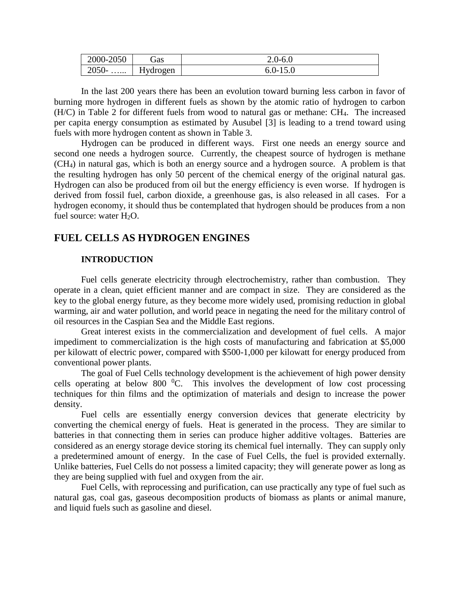| 2000-2050               | jas      | $\sim$ 0-r<br>™ ∪     |
|-------------------------|----------|-----------------------|
| 2050-<br>$\cdots\cdots$ | Hydrogen | $0.0 -$<br>$1 \cup 0$ |

In the last 200 years there has been an evolution toward burning less carbon in favor of burning more hydrogen in different fuels as shown by the atomic ratio of hydrogen to carbon (H/C) in Table 2 for different fuels from wood to natural gas or methane: CH4. The increased per capita energy consumption as estimated by Ausubel [3] is leading to a trend toward using fuels with more hydrogen content as shown in Table 3.

Hydrogen can be produced in different ways. First one needs an energy source and second one needs a hydrogen source. Currently, the cheapest source of hydrogen is methane (CH4) in natural gas, which is both an energy source and a hydrogen source. A problem is that the resulting hydrogen has only 50 percent of the chemical energy of the original natural gas. Hydrogen can also be produced from oil but the energy efficiency is even worse. If hydrogen is derived from fossil fuel, carbon dioxide, a greenhouse gas, is also released in all cases. For a hydrogen economy, it should thus be contemplated that hydrogen should be produces from a non fuel source: water  $H_2O$ .

## **FUEL CELLS AS HYDROGEN ENGINES**

#### **INTRODUCTION**

Fuel cells generate electricity through electrochemistry, rather than combustion. They operate in a clean, quiet efficient manner and are compact in size. They are considered as the key to the global energy future, as they become more widely used, promising reduction in global warming, air and water pollution, and world peace in negating the need for the military control of oil resources in the Caspian Sea and the Middle East regions.

Great interest exists in the commercialization and development of fuel cells. A major impediment to commercialization is the high costs of manufacturing and fabrication at \$5,000 per kilowatt of electric power, compared with \$500-1,000 per kilowatt for energy produced from conventional power plants.

The goal of Fuel Cells technology development is the achievement of high power density cells operating at below 800  $^{0}C$ . This involves the development of low cost processing techniques for thin films and the optimization of materials and design to increase the power density.

Fuel cells are essentially energy conversion devices that generate electricity by converting the chemical energy of fuels. Heat is generated in the process. They are similar to batteries in that connecting them in series can produce higher additive voltages. Batteries are considered as an energy storage device storing its chemical fuel internally. They can supply only a predetermined amount of energy. In the case of Fuel Cells, the fuel is provided externally. Unlike batteries, Fuel Cells do not possess a limited capacity; they will generate power as long as they are being supplied with fuel and oxygen from the air.

Fuel Cells, with reprocessing and purification, can use practically any type of fuel such as natural gas, coal gas, gaseous decomposition products of biomass as plants or animal manure, and liquid fuels such as gasoline and diesel.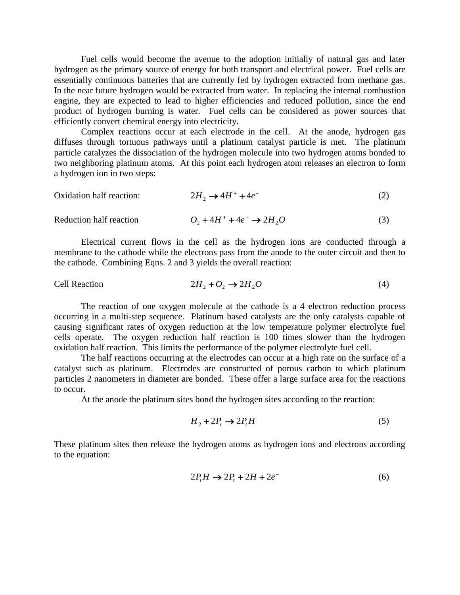Fuel cells would become the avenue to the adoption initially of natural gas and later hydrogen as the primary source of energy for both transport and electrical power. Fuel cells are essentially continuous batteries that are currently fed by hydrogen extracted from methane gas. In the near future hydrogen would be extracted from water. In replacing the internal combustion engine, they are expected to lead to higher efficiencies and reduced pollution, since the end product of hydrogen burning is water. Fuel cells can be considered as power sources that efficiently convert chemical energy into electricity.

Complex reactions occur at each electrode in the cell. At the anode, hydrogen gas diffuses through tortuous pathways until a platinum catalyst particle is met. The platinum particle catalyzes the dissociation of the hydrogen molecule into two hydrogen atoms bonded to two neighboring platinum atoms. At this point each hydrogen atom releases an electron to form a hydrogen ion in two steps:

| Oxidation half reaction: | $2H_2 \rightarrow 4H^+ + 4e^-$        |  |
|--------------------------|---------------------------------------|--|
| Reduction half reaction  | $Q_2 + 4H^+ + 4e^- \rightarrow 2H_2O$ |  |

Electrical current flows in the cell as the hydrogen ions are conducted through a membrane to the cathode while the electrons pass from the anode to the outer circuit and then to the cathode. Combining Eqns. 2 and 3 yields the overall reaction:

Cell Reaction 
$$
2H_2 + O_2 \rightarrow 2H_2O
$$
 (4)

The reaction of one oxygen molecule at the cathode is a 4 electron reduction process occurring in a multi-step sequence. Platinum based catalysts are the only catalysts capable of causing significant rates of oxygen reduction at the low temperature polymer electrolyte fuel cells operate. The oxygen reduction half reaction is 100 times slower than the hydrogen oxidation half reaction. This limits the performance of the polymer electrolyte fuel cell.

The half reactions occurring at the electrodes can occur at a high rate on the surface of a catalyst such as platinum. Electrodes are constructed of porous carbon to which platinum particles 2 nanometers in diameter are bonded. These offer a large surface area for the reactions to occur.

At the anode the platinum sites bond the hydrogen sites according to the reaction:

$$
H_2 + 2P_t \to 2P_t H \tag{5}
$$

These platinum sites then release the hydrogen atoms as hydrogen ions and electrons according to the equation:

$$
2P_t H \to 2P_t + 2H + 2e^-
$$
 (6)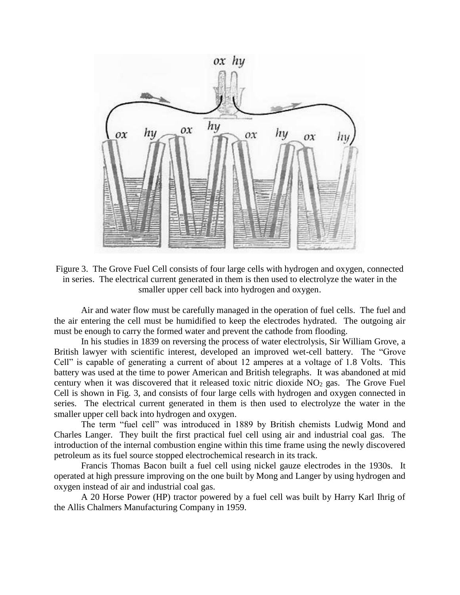

Figure 3. The Grove Fuel Cell consists of four large cells with hydrogen and oxygen, connected in series. The electrical current generated in them is then used to electrolyze the water in the smaller upper cell back into hydrogen and oxygen.

Air and water flow must be carefully managed in the operation of fuel cells. The fuel and the air entering the cell must be humidified to keep the electrodes hydrated. The outgoing air must be enough to carry the formed water and prevent the cathode from flooding.

In his studies in 1839 on reversing the process of water electrolysis, Sir William Grove, a British lawyer with scientific interest, developed an improved wet-cell battery. The "Grove Cell" is capable of generating a current of about 12 amperes at a voltage of 1.8 Volts. This battery was used at the time to power American and British telegraphs. It was abandoned at mid century when it was discovered that it released toxic nitric dioxide NO<sup>2</sup> gas. The Grove Fuel Cell is shown in Fig. 3, and consists of four large cells with hydrogen and oxygen connected in series. The electrical current generated in them is then used to electrolyze the water in the smaller upper cell back into hydrogen and oxygen.

The term "fuel cell" was introduced in 1889 by British chemists Ludwig Mond and Charles Langer. They built the first practical fuel cell using air and industrial coal gas. The introduction of the internal combustion engine within this time frame using the newly discovered petroleum as its fuel source stopped electrochemical research in its track.

Francis Thomas Bacon built a fuel cell using nickel gauze electrodes in the 1930s. It operated at high pressure improving on the one built by Mong and Langer by using hydrogen and oxygen instead of air and industrial coal gas.

A 20 Horse Power (HP) tractor powered by a fuel cell was built by Harry Karl Ihrig of the Allis Chalmers Manufacturing Company in 1959.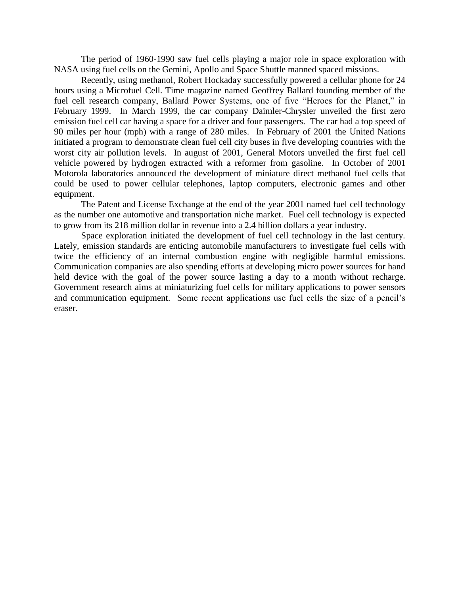The period of 1960-1990 saw fuel cells playing a major role in space exploration with NASA using fuel cells on the Gemini, Apollo and Space Shuttle manned spaced missions.

Recently, using methanol, Robert Hockaday successfully powered a cellular phone for 24 hours using a Microfuel Cell. Time magazine named Geoffrey Ballard founding member of the fuel cell research company, Ballard Power Systems, one of five "Heroes for the Planet," in February 1999. In March 1999, the car company Daimler-Chrysler unveiled the first zero emission fuel cell car having a space for a driver and four passengers. The car had a top speed of 90 miles per hour (mph) with a range of 280 miles. In February of 2001 the United Nations initiated a program to demonstrate clean fuel cell city buses in five developing countries with the worst city air pollution levels. In august of 2001, General Motors unveiled the first fuel cell vehicle powered by hydrogen extracted with a reformer from gasoline. In October of 2001 Motorola laboratories announced the development of miniature direct methanol fuel cells that could be used to power cellular telephones, laptop computers, electronic games and other equipment.

The Patent and License Exchange at the end of the year 2001 named fuel cell technology as the number one automotive and transportation niche market. Fuel cell technology is expected to grow from its 218 million dollar in revenue into a 2.4 billion dollars a year industry.

Space exploration initiated the development of fuel cell technology in the last century. Lately, emission standards are enticing automobile manufacturers to investigate fuel cells with twice the efficiency of an internal combustion engine with negligible harmful emissions. Communication companies are also spending efforts at developing micro power sources for hand held device with the goal of the power source lasting a day to a month without recharge. Government research aims at miniaturizing fuel cells for military applications to power sensors and communication equipment. Some recent applications use fuel cells the size of a pencil's eraser.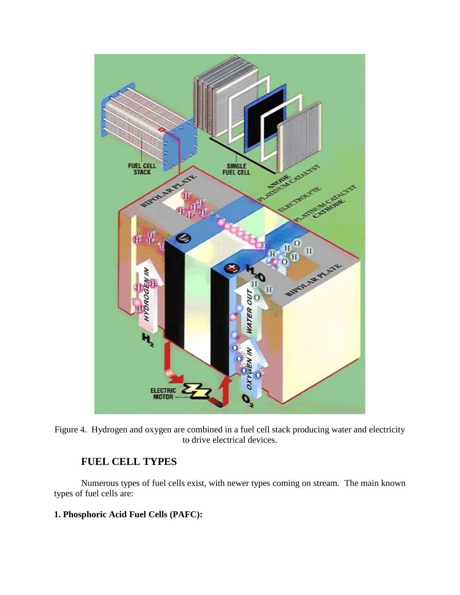

Figure 4. Hydrogen and oxygen are combined in a fuel cell stack producing water and electricity to drive electrical devices.

# **FUEL CELL TYPES**

Numerous types of fuel cells exist, with newer types coming on stream. The main known types of fuel cells are:

## **1. Phosphoric Acid Fuel Cells (PAFC):**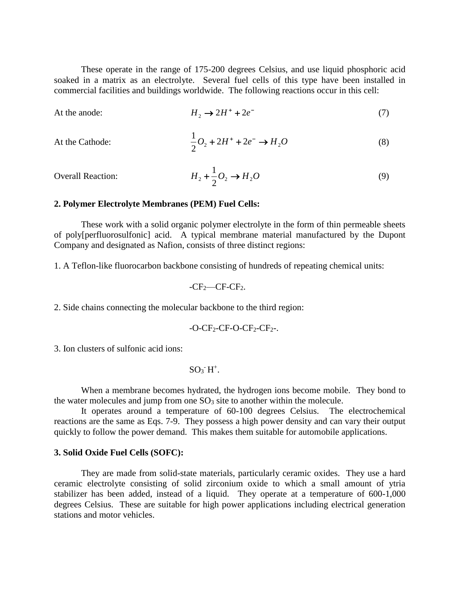These operate in the range of 175-200 degrees Celsius, and use liquid phosphoric acid soaked in a matrix as an electrolyte. Several fuel cells of this type have been installed in commercial facilities and buildings worldwide. The following reactions occur in this cell:

At the anode: 
$$
H_2 \to 2H^+ + 2e^-
$$
 (7)

At the Catholic: 
$$
\frac{1}{2}O_2 + 2H^+ + 2e^- \rightarrow H_2O
$$
 (8)

Overall Reaction: 
$$
H_2 + \frac{1}{2}O_2 \rightarrow H_2O
$$
 (9)

#### **2. Polymer Electrolyte Membranes (PEM) Fuel Cells:**

These work with a solid organic polymer electrolyte in the form of thin permeable sheets of poly[perfluorosulfonic] acid. A typical membrane material manufactured by the Dupont Company and designated as Nafion, consists of three distinct regions:

1. A Teflon-like fluorocarbon backbone consisting of hundreds of repeating chemical units:

$$
-CF2—CF-CF2.
$$

2. Side chains connecting the molecular backbone to the third region:

$$
-O-CF_2-CF-O-CF_2-CF_2.
$$

3. Ion clusters of sulfonic acid ions:

$$
SO_3\hat{\;}H^+.
$$

When a membrane becomes hydrated, the hydrogen ions become mobile. They bond to the water molecules and jump from one  $SO<sub>3</sub>$  site to another within the molecule.

It operates around a temperature of 60-100 degrees Celsius. The electrochemical reactions are the same as Eqs. 7-9. They possess a high power density and can vary their output quickly to follow the power demand. This makes them suitable for automobile applications.

#### **3. Solid Oxide Fuel Cells (SOFC):**

They are made from solid-state materials, particularly ceramic oxides. They use a hard ceramic electrolyte consisting of solid zirconium oxide to which a small amount of ytria stabilizer has been added, instead of a liquid. They operate at a temperature of 600-1,000 degrees Celsius. These are suitable for high power applications including electrical generation stations and motor vehicles.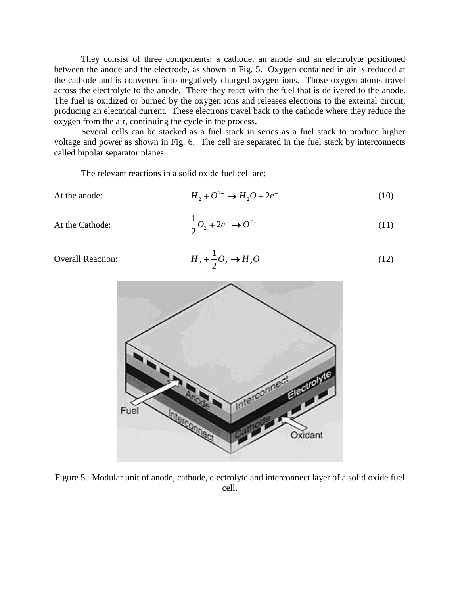They consist of three components: a cathode, an anode and an electrolyte positioned between the anode and the electrode, as shown in Fig. 5. Oxygen contained in air is reduced at the cathode and is converted into negatively charged oxygen ions. Those oxygen atoms travel across the electrolyte to the anode. There they react with the fuel that is delivered to the anode. The fuel is oxidized or burned by the oxygen ions and releases electrons to the external circuit, producing an electrical current. These electrons travel back to the cathode where they reduce the oxygen from the air, continuing the cycle in the process.

Several cells can be stacked as a fuel stack in series as a fuel stack to produce higher voltage and power as shown in Fig. 6. The cell are separated in the fuel stack by interconnects called bipolar separator planes.

 $+\frac{1}{2}O_2 \rightarrow$ 

The relevant reactions in a solid oxide fuel cell are:

At the anode:

$$
H_2 + O^{2-} \to H_2O + 2e^- \tag{10}
$$

At the Cathode:

$$
\frac{1}{2}O_2 + 2e^- \rightarrow O^{2-}
$$
\n<sup>(11)</sup>

(12)

Overall Reaction:



Figure 5. Modular unit of anode, cathode, electrolyte and interconnect layer of a solid oxide fuel cell.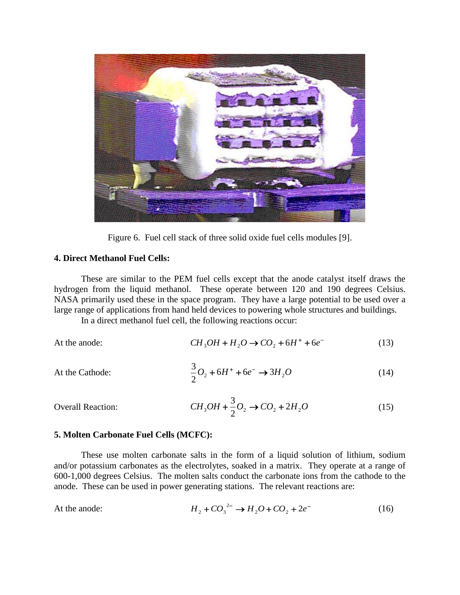

Figure 6. Fuel cell stack of three solid oxide fuel cells modules [9].

#### **4. Direct Methanol Fuel Cells:**

These are similar to the PEM fuel cells except that the anode catalyst itself draws the hydrogen from the liquid methanol. These operate between 120 and 190 degrees Celsius. NASA primarily used these in the space program. They have a large potential to be used over a large range of applications from hand held devices to powering whole structures and buildings.

In a direct methanol fuel cell, the following reactions occur:

At the anode: 
$$
CH_3OH + H_2O \rightarrow CO_2 + 6H^+ + 6e^-
$$
 (13)

At the Catholic: 
$$
\frac{3}{2}O_2 + 6H^+ + 6e^- \rightarrow 3H_2O
$$
 (14)

$$
CH_3OH + \frac{3}{2}O_2 \to CO_2 + 2H_2O
$$
 (15)

#### **5. Molten Carbonate Fuel Cells (MCFC):**

Overall Reaction:

These use molten carbonate salts in the form of a liquid solution of lithium, sodium and/or potassium carbonates as the electrolytes, soaked in a matrix. They operate at a range of 600-1,000 degrees Celsius. The molten salts conduct the carbonate ions from the cathode to the anode. These can be used in power generating stations. The relevant reactions are:

At the anode: 
$$
H_2 + CO_3^{2-} \rightarrow H_2O + CO_2 + 2e^-
$$
 (16)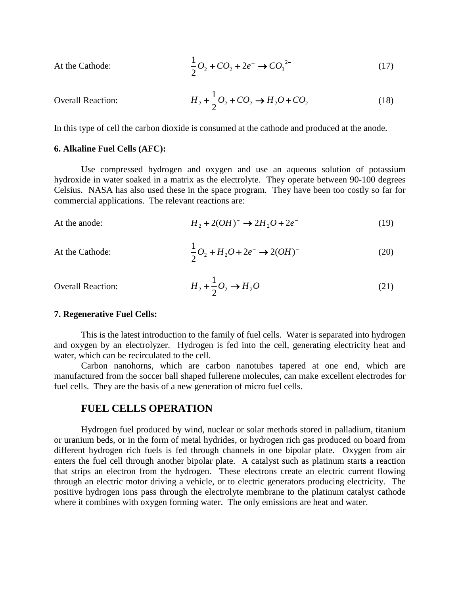At the Catholic: 
$$
\frac{1}{2}O_2 + CO_2 + 2e^- \to CO_3^{2-}
$$
 (17)

Overall Reaction: 
$$
H_2 + \frac{1}{2}O_2 + CO_2 \rightarrow H_2O + CO_2
$$
 (18)

In this type of cell the carbon dioxide is consumed at the cathode and produced at the anode.

#### **6. Alkaline Fuel Cells (AFC):**

Use compressed hydrogen and oxygen and use an aqueous solution of potassium hydroxide in water soaked in a matrix as the electrolyte. They operate between 90-100 degrees Celsius. NASA has also used these in the space program. They have been too costly so far for commercial applications. The relevant reactions are:

At the anode: 
$$
H_2 + 2(OH)^{-} \rightarrow 2H_2O + 2e^{-}
$$
 (19)

At the Catholic: 
$$
\frac{1}{2}O_2 + H_2O + 2e^- \rightarrow 2(OH)^-
$$
 (20)

Overall Reaction:  $H_2 + \frac{1}{2}O_2 \to H_2O$  $+\frac{1}{2}O_2 \rightarrow$ 

#### **7. Regenerative Fuel Cells:**

This is the latest introduction to the family of fuel cells. Water is separated into hydrogen and oxygen by an electrolyzer. Hydrogen is fed into the cell, generating electricity heat and water, which can be recirculated to the cell.

(21)

Carbon nanohorns, which are carbon nanotubes tapered at one end, which are manufactured from the soccer ball shaped fullerene molecules, can make excellent electrodes for fuel cells. They are the basis of a new generation of micro fuel cells.

### **FUEL CELLS OPERATION**

Hydrogen fuel produced by wind, nuclear or solar methods stored in palladium, titanium or uranium beds, or in the form of metal hydrides, or hydrogen rich gas produced on board from different hydrogen rich fuels is fed through channels in one bipolar plate. Oxygen from air enters the fuel cell through another bipolar plate. A catalyst such as platinum starts a reaction that strips an electron from the hydrogen. These electrons create an electric current flowing through an electric motor driving a vehicle, or to electric generators producing electricity. The positive hydrogen ions pass through the electrolyte membrane to the platinum catalyst cathode where it combines with oxygen forming water. The only emissions are heat and water.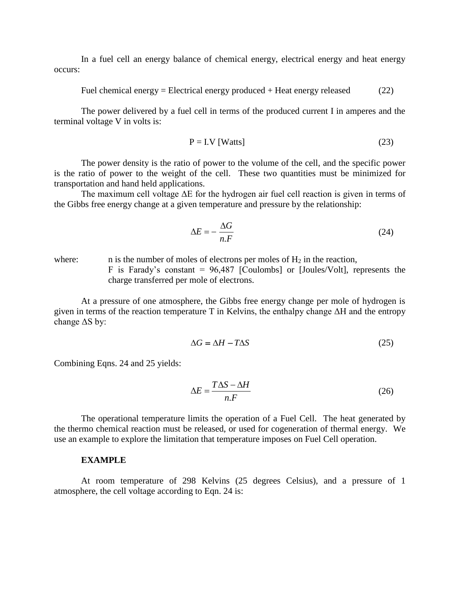In a fuel cell an energy balance of chemical energy, electrical energy and heat energy occurs:

$$
Field chemical energy = Electrical energy produced + Heat energy released \qquad (22)
$$

The power delivered by a fuel cell in terms of the produced current I in amperes and the terminal voltage V in volts is:

$$
P = I.V [Watts]
$$
 (23)

The power density is the ratio of power to the volume of the cell, and the specific power is the ratio of power to the weight of the cell. These two quantities must be minimized for transportation and hand held applications.

The maximum cell voltage ΔE for the hydrogen air fuel cell reaction is given in terms of the Gibbs free energy change at a given temperature and pressure by the relationship:

$$
\Delta E = -\frac{\Delta G}{n.F} \tag{24}
$$

where: n is the number of moles of electrons per moles of  $H_2$  in the reaction, F is Farady's constant =  $96,487$  [Coulombs] or [Joules/Volt], represents the charge transferred per mole of electrons.

At a pressure of one atmosphere, the Gibbs free energy change per mole of hydrogen is given in terms of the reaction temperature T in Kelvins, the enthalpy change  $\Delta H$  and the entropy change ΔS by:

$$
\Delta G = \Delta H - T\Delta S \tag{25}
$$

Combining Eqns. 24 and 25 yields:

$$
\Delta E = \frac{T\Delta S - \Delta H}{n.F}
$$
 (26)

The operational temperature limits the operation of a Fuel Cell. The heat generated by the thermo chemical reaction must be released, or used for cogeneration of thermal energy. We use an example to explore the limitation that temperature imposes on Fuel Cell operation.

#### **EXAMPLE**

At room temperature of 298 Kelvins (25 degrees Celsius), and a pressure of 1 atmosphere, the cell voltage according to Eqn. 24 is: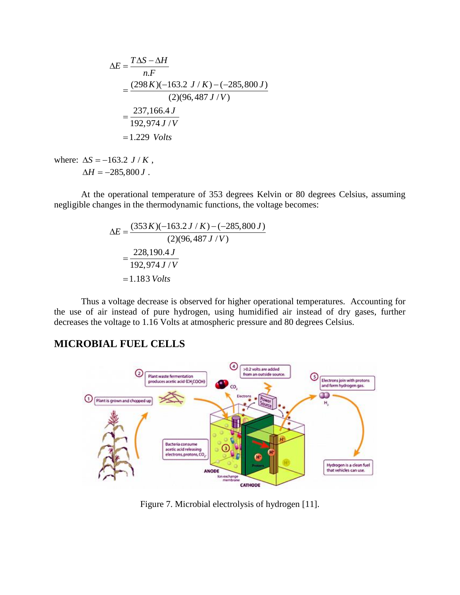$$
\Delta E = \frac{T \Delta S - \Delta H}{n.F}
$$
  
= 
$$
\frac{(298 K)(-163.2 J/K) - (-285,800 J)}{(2)(96,487 J/V)}
$$
  
= 
$$
\frac{237,166.4 J}{192,974 J/V}
$$
  
= 1.229 Volts

where:  $\Delta S = -163.2 \, J / K$ ,  $\Delta H = -285,800 J$ .

At the operational temperature of 353 degrees Kelvin or 80 degrees Celsius, assuming negligible changes in the thermodynamic functions, the voltage becomes:

$$
\Delta E = \frac{(353 K)(-163.2 J/K) - (-285,800 J)}{(2)(96,487 J/V)}
$$
  
= 
$$
\frac{228,190.4 J}{192,974 J/V}
$$
  
= 1.183 Volts

Thus a voltage decrease is observed for higher operational temperatures. Accounting for the use of air instead of pure hydrogen, using humidified air instead of dry gases, further decreases the voltage to 1.16 Volts at atmospheric pressure and 80 degrees Celsius.

# **MICROBIAL FUEL CELLS**



Figure 7. Microbial electrolysis of hydrogen [11].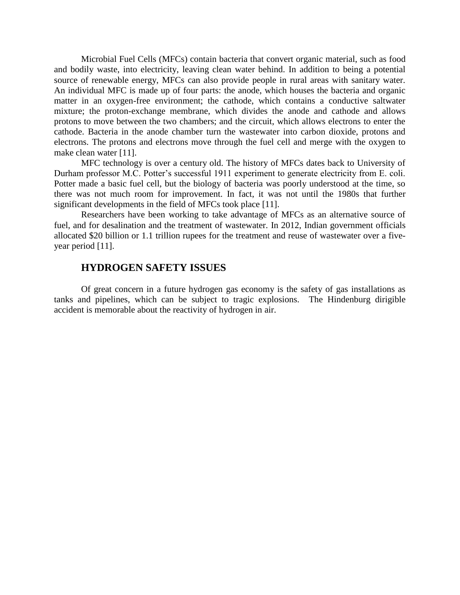Microbial Fuel Cells (MFCs) contain bacteria that convert organic material, such as food and bodily waste, into electricity, leaving clean water behind. In addition to being a potential source of renewable energy, MFCs can also provide people in rural areas with sanitary water. An individual MFC is made up of four parts: the anode, which houses the bacteria and organic matter in an oxygen-free environment; the cathode, which contains a conductive saltwater mixture; the proton-exchange membrane, which divides the anode and cathode and allows protons to move between the two chambers; and the circuit, which allows electrons to enter the cathode. Bacteria in the anode chamber turn the wastewater into carbon dioxide, protons and electrons. The protons and electrons move through the fuel cell and merge with the oxygen to make clean water [11].

MFC technology is over a century old. The history of MFCs dates back to University of Durham professor M.C. Potter's successful 1911 experiment to generate electricity from E. coli. Potter made a basic fuel cell, but the biology of bacteria was poorly understood at the time, so there was not much room for improvement. In fact, it was not until the 1980s that further significant developments in the field of MFCs took place [11].

Researchers have been working to take advantage of MFCs as an alternative source of fuel, and for desalination and the treatment of wastewater. In 2012, Indian government officials allocated \$20 billion or 1.1 trillion rupees for the treatment and reuse of wastewater over a fiveyear period [11].

### **HYDROGEN SAFETY ISSUES**

Of great concern in a future hydrogen gas economy is the safety of gas installations as tanks and pipelines, which can be subject to tragic explosions. The Hindenburg dirigible accident is memorable about the reactivity of hydrogen in air.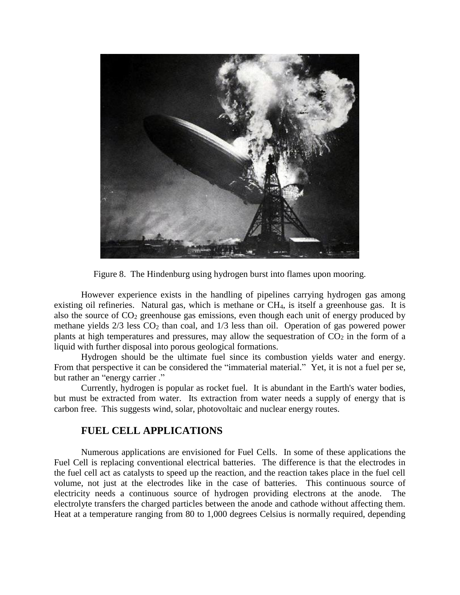

Figure 8. The Hindenburg using hydrogen burst into flames upon mooring.

However experience exists in the handling of pipelines carrying hydrogen gas among existing oil refineries. Natural gas, which is methane or CH4, is itself a greenhouse gas. It is also the source of  $CO<sub>2</sub>$  greenhouse gas emissions, even though each unit of energy produced by methane yields  $2/3$  less  $CO<sub>2</sub>$  than coal, and  $1/3$  less than oil. Operation of gas powered power plants at high temperatures and pressures, may allow the sequestration of  $CO<sub>2</sub>$  in the form of a liquid with further disposal into porous geological formations.

Hydrogen should be the ultimate fuel since its combustion yields water and energy. From that perspective it can be considered the "immaterial material." Yet, it is not a fuel per se, but rather an "energy carrier ."

Currently, hydrogen is popular as rocket fuel. It is abundant in the Earth's water bodies, but must be extracted from water. Its extraction from water needs a supply of energy that is carbon free. This suggests wind, solar, photovoltaic and nuclear energy routes.

## **FUEL CELL APPLICATIONS**

Numerous applications are envisioned for Fuel Cells. In some of these applications the Fuel Cell is replacing conventional electrical batteries. The difference is that the electrodes in the fuel cell act as catalysts to speed up the reaction, and the reaction takes place in the fuel cell volume, not just at the electrodes like in the case of batteries. This continuous source of electricity needs a continuous source of hydrogen providing electrons at the anode. The electrolyte transfers the charged particles between the anode and cathode without affecting them. Heat at a temperature ranging from 80 to 1,000 degrees Celsius is normally required, depending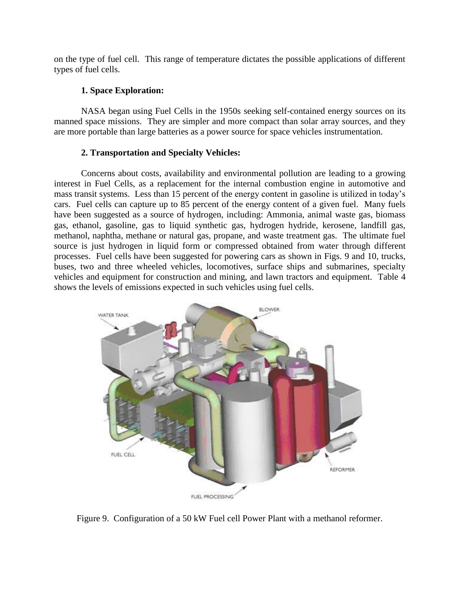on the type of fuel cell. This range of temperature dictates the possible applications of different types of fuel cells.

### **1. Space Exploration:**

NASA began using Fuel Cells in the 1950s seeking self-contained energy sources on its manned space missions. They are simpler and more compact than solar array sources, and they are more portable than large batteries as a power source for space vehicles instrumentation.

### **2. Transportation and Specialty Vehicles:**

Concerns about costs, availability and environmental pollution are leading to a growing interest in Fuel Cells, as a replacement for the internal combustion engine in automotive and mass transit systems. Less than 15 percent of the energy content in gasoline is utilized in today's cars. Fuel cells can capture up to 85 percent of the energy content of a given fuel. Many fuels have been suggested as a source of hydrogen, including: Ammonia, animal waste gas, biomass gas, ethanol, gasoline, gas to liquid synthetic gas, hydrogen hydride, kerosene, landfill gas, methanol, naphtha, methane or natural gas, propane, and waste treatment gas. The ultimate fuel source is just hydrogen in liquid form or compressed obtained from water through different processes. Fuel cells have been suggested for powering cars as shown in Figs. 9 and 10, trucks, buses, two and three wheeled vehicles, locomotives, surface ships and submarines, specialty vehicles and equipment for construction and mining, and lawn tractors and equipment. Table 4 shows the levels of emissions expected in such vehicles using fuel cells.



Figure 9. Configuration of a 50 kW Fuel cell Power Plant with a methanol reformer.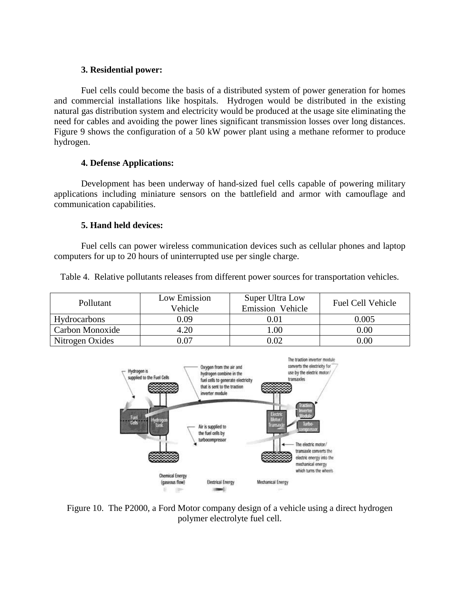### **3. Residential power:**

Fuel cells could become the basis of a distributed system of power generation for homes and commercial installations like hospitals. Hydrogen would be distributed in the existing natural gas distribution system and electricity would be produced at the usage site eliminating the need for cables and avoiding the power lines significant transmission losses over long distances. Figure 9 shows the configuration of a 50 kW power plant using a methane reformer to produce hydrogen.

### **4. Defense Applications:**

Development has been underway of hand-sized fuel cells capable of powering military applications including miniature sensors on the battlefield and armor with camouflage and communication capabilities.

### **5. Hand held devices:**

Fuel cells can power wireless communication devices such as cellular phones and laptop computers for up to 20 hours of uninterrupted use per single charge.

Table 4. Relative pollutants releases from different power sources for transportation vehicles.

| Pollutant           | Low Emission<br>Vehicle | Super Ultra Low<br>Emission Vehicle | <b>Fuel Cell Vehicle</b> |
|---------------------|-------------------------|-------------------------------------|--------------------------|
| <b>Hydrocarbons</b> | 0.09                    | $\rm 0.01$                          | 0.005                    |
| Carbon Monoxide     | 4.20                    | 0.00                                | 0.00                     |
| Nitrogen Oxides     | 0.07                    | 0.02                                | 0.00                     |



Figure 10. The P2000, a Ford Motor company design of a vehicle using a direct hydrogen polymer electrolyte fuel cell.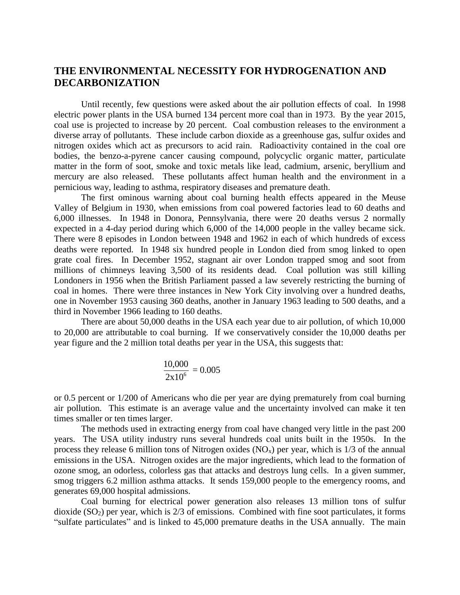## **THE ENVIRONMENTAL NECESSITY FOR HYDROGENATION AND DECARBONIZATION**

Until recently, few questions were asked about the air pollution effects of coal. In 1998 electric power plants in the USA burned 134 percent more coal than in 1973. By the year 2015, coal use is projected to increase by 20 percent. Coal combustion releases to the environment a diverse array of pollutants. These include carbon dioxide as a greenhouse gas, sulfur oxides and nitrogen oxides which act as precursors to acid rain. Radioactivity contained in the coal ore bodies, the benzo-a-pyrene cancer causing compound, polycyclic organic matter, particulate matter in the form of soot, smoke and toxic metals like lead, cadmium, arsenic, beryllium and mercury are also released. These pollutants affect human health and the environment in a pernicious way, leading to asthma, respiratory diseases and premature death.

The first ominous warning about coal burning health effects appeared in the Meuse Valley of Belgium in 1930, when emissions from coal powered factories lead to 60 deaths and 6,000 illnesses. In 1948 in Donora, Pennsylvania, there were 20 deaths versus 2 normally expected in a 4-day period during which 6,000 of the 14,000 people in the valley became sick. There were 8 episodes in London between 1948 and 1962 in each of which hundreds of excess deaths were reported. In 1948 six hundred people in London died from smog linked to open grate coal fires. In December 1952, stagnant air over London trapped smog and soot from millions of chimneys leaving 3,500 of its residents dead. Coal pollution was still killing Londoners in 1956 when the British Parliament passed a law severely restricting the burning of coal in homes. There were three instances in New York City involving over a hundred deaths, one in November 1953 causing 360 deaths, another in January 1963 leading to 500 deaths, and a third in November 1966 leading to 160 deaths.

There are about 50,000 deaths in the USA each year due to air pollution, of which 10,000 to 20,000 are attributable to coal burning. If we conservatively consider the 10,000 deaths per year figure and the 2 million total deaths per year in the USA, this suggests that:

$$
\frac{10,000}{2x10^6} = 0.005
$$

or 0.5 percent or 1/200 of Americans who die per year are dying prematurely from coal burning air pollution. This estimate is an average value and the uncertainty involved can make it ten times smaller or ten times larger.

The methods used in extracting energy from coal have changed very little in the past 200 years. The USA utility industry runs several hundreds coal units built in the 1950s. In the process they release 6 million tons of Nitrogen oxides  $(NO<sub>x</sub>)$  per year, which is 1/3 of the annual emissions in the USA. Nitrogen oxides are the major ingredients, which lead to the formation of ozone smog, an odorless, colorless gas that attacks and destroys lung cells. In a given summer, smog triggers 6.2 million asthma attacks. It sends 159,000 people to the emergency rooms, and generates 69,000 hospital admissions.

Coal burning for electrical power generation also releases 13 million tons of sulfur dioxide  $(SO<sub>2</sub>)$  per year, which is  $2/3$  of emissions. Combined with fine soot particulates, it forms "sulfate particulates" and is linked to 45,000 premature deaths in the USA annually. The main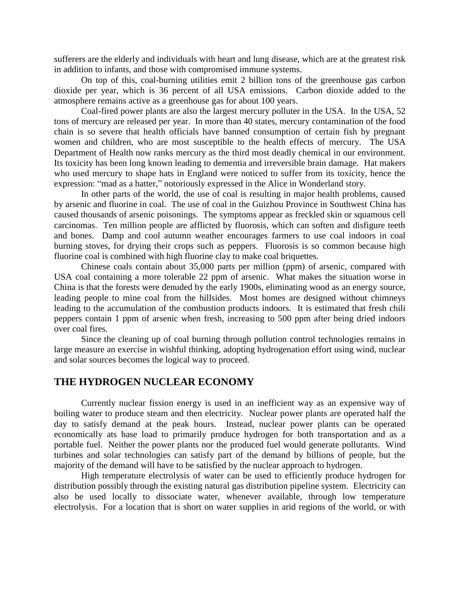sufferers are the elderly and individuals with heart and lung disease, which are at the greatest risk in addition to infants, and those with compromised immune systems.

On top of this, coal-burning utilities emit 2 billion tons of the greenhouse gas carbon dioxide per year, which is 36 percent of all USA emissions. Carbon dioxide added to the atmosphere remains active as a greenhouse gas for about 100 years.

Coal-fired power plants are also the largest mercury polluter in the USA. In the USA, 52 tons of mercury are released per year. In more than 40 states, mercury contamination of the food chain is so severe that health officials have banned consumption of certain fish by pregnant women and children, who are most susceptible to the health effects of mercury. The USA Department of Health now ranks mercury as the third most deadly chemical in our environment. Its toxicity has been long known leading to dementia and irreversible brain damage. Hat makers who used mercury to shape hats in England were noticed to suffer from its toxicity, hence the expression: "mad as a hatter," notoriously expressed in the Alice in Wonderland story.

In other parts of the world, the use of coal is resulting in major health problems, caused by arsenic and fluorine in coal. The use of coal in the Guizhou Province in Southwest China has caused thousands of arsenic poisonings. The symptoms appear as freckled skin or squamous cell carcinomas. Ten million people are afflicted by fluorosis, which can soften and disfigure teeth and bones. Damp and cool autumn weather encourages farmers to use coal indoors in coal burning stoves, for drying their crops such as peppers. Fluorosis is so common because high fluorine coal is combined with high fluorine clay to make coal briquettes.

Chinese coals contain about 35,000 parts per million (ppm) of arsenic, compared with USA coal containing a more tolerable 22 ppm of arsenic. What makes the situation worse in China is that the forests were denuded by the early 1900s, eliminating wood as an energy source, leading people to mine coal from the hillsides. Most homes are designed without chimneys leading to the accumulation of the combustion products indoors. It is estimated that fresh chili peppers contain 1 ppm of arsenic when fresh, increasing to 500 ppm after being dried indoors over coal fires.

Since the cleaning up of coal burning through pollution control technologies remains in large measure an exercise in wishful thinking, adopting hydrogenation effort using wind, nuclear and solar sources becomes the logical way to proceed.

## **THE HYDROGEN NUCLEAR ECONOMY**

Currently nuclear fission energy is used in an inefficient way as an expensive way of boiling water to produce steam and then electricity. Nuclear power plants are operated half the day to satisfy demand at the peak hours. Instead, nuclear power plants can be operated economically ats base load to primarily produce hydrogen for both transportation and as a portable fuel. Neither the power plants nor the produced fuel would generate pollutants. Wind turbines and solar technologies can satisfy part of the demand by billions of people, but the majority of the demand will have to be satisfied by the nuclear approach to hydrogen.

High temperature electrolysis of water can be used to efficiently produce hydrogen for distribution possibly through the existing natural gas distribution pipeline system. Electricity can also be used locally to dissociate water, whenever available, through low temperature electrolysis. For a location that is short on water supplies in arid regions of the world, or with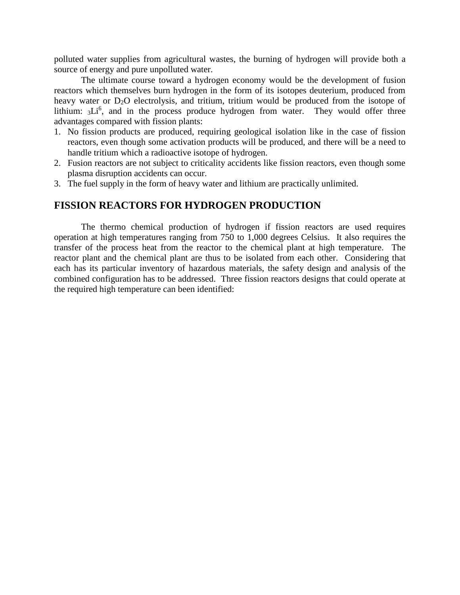polluted water supplies from agricultural wastes, the burning of hydrogen will provide both a source of energy and pure unpolluted water.

The ultimate course toward a hydrogen economy would be the development of fusion reactors which themselves burn hydrogen in the form of its isotopes deuterium, produced from heavy water or  $D_2O$  electrolysis, and tritium, tritium would be produced from the isotope of lithium: 3Li<sup>6</sup>, and in the process produce hydrogen from water. They would offer three advantages compared with fission plants:

- 1. No fission products are produced, requiring geological isolation like in the case of fission reactors, even though some activation products will be produced, and there will be a need to handle tritium which a radioactive isotope of hydrogen.
- 2. Fusion reactors are not subject to criticality accidents like fission reactors, even though some plasma disruption accidents can occur.
- 3. The fuel supply in the form of heavy water and lithium are practically unlimited.

## **FISSION REACTORS FOR HYDROGEN PRODUCTION**

The thermo chemical production of hydrogen if fission reactors are used requires operation at high temperatures ranging from 750 to 1,000 degrees Celsius. It also requires the transfer of the process heat from the reactor to the chemical plant at high temperature. The reactor plant and the chemical plant are thus to be isolated from each other. Considering that each has its particular inventory of hazardous materials, the safety design and analysis of the combined configuration has to be addressed. Three fission reactors designs that could operate at the required high temperature can been identified: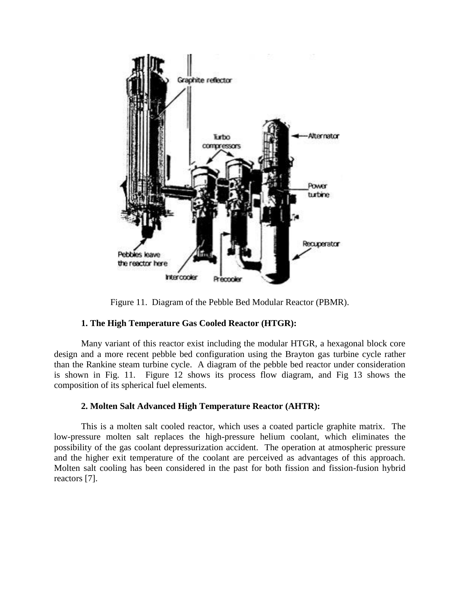

Figure 11. Diagram of the Pebble Bed Modular Reactor (PBMR).

### **1. The High Temperature Gas Cooled Reactor (HTGR):**

Many variant of this reactor exist including the modular HTGR, a hexagonal block core design and a more recent pebble bed configuration using the Brayton gas turbine cycle rather than the Rankine steam turbine cycle. A diagram of the pebble bed reactor under consideration is shown in Fig. 11. Figure 12 shows its process flow diagram, and Fig 13 shows the composition of its spherical fuel elements.

## **2. Molten Salt Advanced High Temperature Reactor (AHTR):**

This is a molten salt cooled reactor, which uses a coated particle graphite matrix. The low-pressure molten salt replaces the high-pressure helium coolant, which eliminates the possibility of the gas coolant depressurization accident. The operation at atmospheric pressure and the higher exit temperature of the coolant are perceived as advantages of this approach. Molten salt cooling has been considered in the past for both fission and fission-fusion hybrid reactors [7].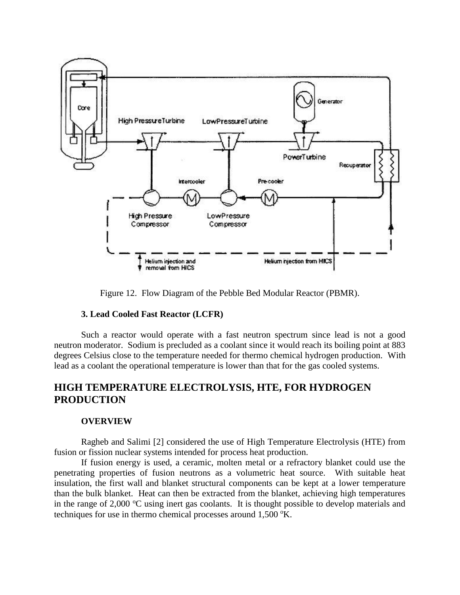

Figure 12. Flow Diagram of the Pebble Bed Modular Reactor (PBMR).

### **3. Lead Cooled Fast Reactor (LCFR)**

Such a reactor would operate with a fast neutron spectrum since lead is not a good neutron moderator. Sodium is precluded as a coolant since it would reach its boiling point at 883 degrees Celsius close to the temperature needed for thermo chemical hydrogen production. With lead as a coolant the operational temperature is lower than that for the gas cooled systems.

## **HIGH TEMPERATURE ELECTROLYSIS, HTE, FOR HYDROGEN PRODUCTION**

#### **OVERVIEW**

Ragheb and Salimi [2] considered the use of High Temperature Electrolysis (HTE) from fusion or fission nuclear systems intended for process heat production.

If fusion energy is used, a ceramic, molten metal or a refractory blanket could use the penetrating properties of fusion neutrons as a volumetric heat source. With suitable heat insulation, the first wall and blanket structural components can be kept at a lower temperature than the bulk blanket. Heat can then be extracted from the blanket, achieving high temperatures in the range of  $2,000$  °C using inert gas coolants. It is thought possible to develop materials and techniques for use in thermo chemical processes around  $1,500 \text{ }^{\circ}$ K.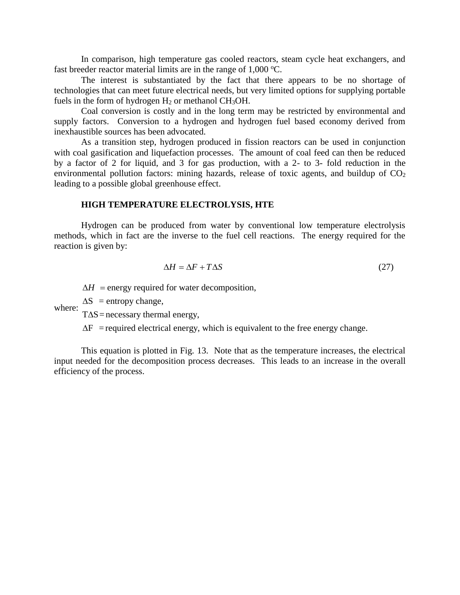In comparison, high temperature gas cooled reactors, steam cycle heat exchangers, and fast breeder reactor material limits are in the range of  $1,000 \degree C$ .

The interest is substantiated by the fact that there appears to be no shortage of technologies that can meet future electrical needs, but very limited options for supplying portable fuels in the form of hydrogen  $H_2$  or methanol CH<sub>3</sub>OH.

Coal conversion is costly and in the long term may be restricted by environmental and supply factors. Conversion to a hydrogen and hydrogen fuel based economy derived from inexhaustible sources has been advocated.

As a transition step, hydrogen produced in fission reactors can be used in conjunction with coal gasification and liquefaction processes. The amount of coal feed can then be reduced by a factor of 2 for liquid, and 3 for gas production, with a 2- to 3- fold reduction in the environmental pollution factors: mining hazards, release of toxic agents, and buildup of  $CO<sub>2</sub>$ leading to a possible global greenhouse effect.

#### **HIGH TEMPERATURE ELECTROLYSIS, HTE**

Hydrogen can be produced from water by conventional low temperature electrolysis methods, which in fact are the inverse to the fuel cell reactions. The energy required for the reaction is given by:

$$
\Delta H = \Delta F + T \Delta S \tag{27}
$$

energy required for water decomposition,  $\Delta H$  = energy requ

 $\Delta H$  = energy required<br>where:  $\Delta S$  = entropy change,

 $\Delta H$  = energy required for water<br> $\Delta S$  = entropy change,<br> $T\Delta S$ = necessary thermal energy,  $\Delta$ 

 $\Delta S$  = entropy change,<br>T $\Delta S$  = necessary thermal energy,<br> $\Delta F$  = required electrical energy, which is equivalent to the free energy change.  $\Delta F$  = required electrical energy, which is equivalent to the free energy change.

This equation is plotted in Fig. 13. Note that as the temperature increases, the electrical input needed for the decomposition process decreases. This leads to an increase in the overall efficiency of the process.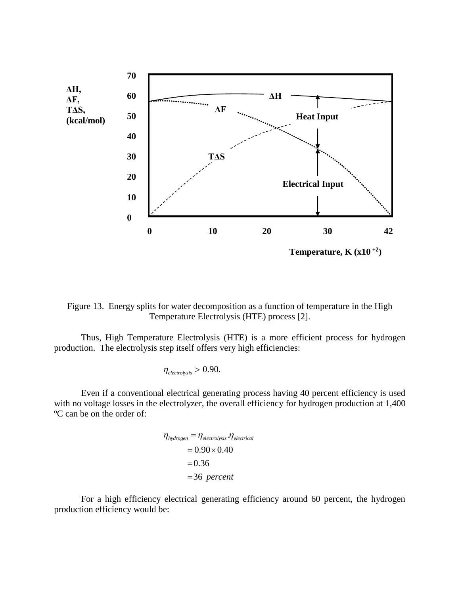

Figure 13. Energy splits for water decomposition as a function of temperature in the High Temperature Electrolysis (HTE) process [2].

Thus, High Temperature Electrolysis (HTE) is a more efficient process for hydrogen production. The electrolysis step itself offers very high efficiencies:

$$
\eta_{\text{electrolysis}} > 0.90.
$$

Even if a conventional electrical generating process having 40 percent efficiency is used with no voltage losses in the electrolyzer, the overall efficiency for hydrogen production at 1,400 <sup>o</sup>C can be on the order of:

$$
\eta_{hydrogen} = \eta_{electrolysis} \cdot \eta_{electrical}
$$
  
= 0.90 × 0.40  
= 0.36  
= 36 percent

For a high efficiency electrical generating efficiency around 60 percent, the hydrogen production efficiency would be: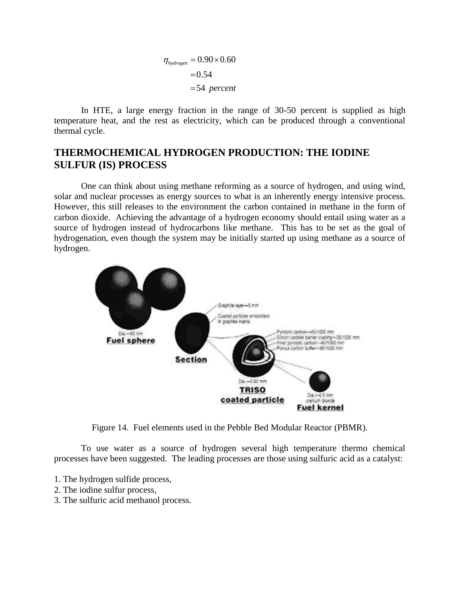$$
\eta_{hydrogen} = 0.90 \times 0.60
$$

$$
= 0.54
$$

$$
= 54 percent
$$

In HTE, a large energy fraction in the range of 30-50 percent is supplied as high temperature heat, and the rest as electricity, which can be produced through a conventional thermal cycle.

## **THERMOCHEMICAL HYDROGEN PRODUCTION: THE IODINE SULFUR (IS) PROCESS**

One can think about using methane reforming as a source of hydrogen, and using wind, solar and nuclear processes as energy sources to what is an inherently energy intensive process. However, this still releases to the environment the carbon contained in methane in the form of carbon dioxide. Achieving the advantage of a hydrogen economy should entail using water as a source of hydrogen instead of hydrocarbons like methane. This has to be set as the goal of hydrogenation, even though the system may be initially started up using methane as a source of hydrogen.



Figure 14. Fuel elements used in the Pebble Bed Modular Reactor (PBMR).

To use water as a source of hydrogen several high temperature thermo chemical processes have been suggested. The leading processes are those using sulfuric acid as a catalyst:

- 1. The hydrogen sulfide process,
- 2. The iodine sulfur process,
- 3. The sulfuric acid methanol process.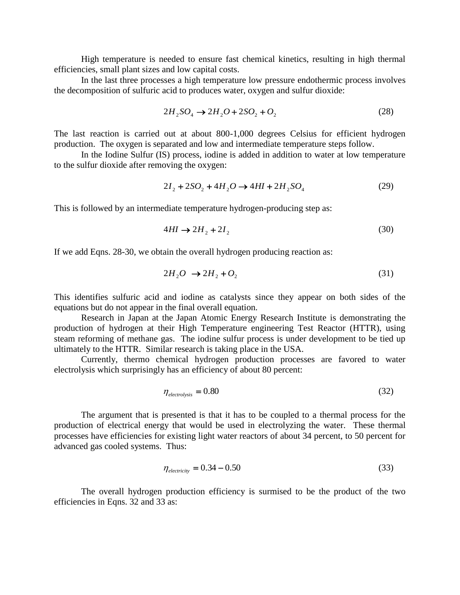High temperature is needed to ensure fast chemical kinetics, resulting in high thermal efficiencies, small plant sizes and low capital costs.

In the last three processes a high temperature low pressure endothermic process involves the decomposition of sulfuric acid to produces water, oxygen and sulfur dioxide:

$$
2H_2SO_4 \to 2H_2O + 2SO_2 + O_2 \tag{28}
$$

The last reaction is carried out at about 800-1,000 degrees Celsius for efficient hydrogen production. The oxygen is separated and low and intermediate temperature steps follow.

In the Iodine Sulfur (IS) process, iodine is added in addition to water at low temperature to the sulfur dioxide after removing the oxygen:

$$
2I_2 + 2SO_2 + 4H_2O \to 4HI + 2H_2SO_4 \tag{29}
$$

This is followed by an intermediate temperature hydrogen-producing step as:

$$
4HI \rightarrow 2H_2 + 2I_2 \tag{30}
$$

If we add Eqns. 28-30, we obtain the overall hydrogen producing reaction as:

$$
2H_2O \rightarrow 2H_2 + O_2 \tag{31}
$$

This identifies sulfuric acid and iodine as catalysts since they appear on both sides of the equations but do not appear in the final overall equation.

Research in Japan at the Japan Atomic Energy Research Institute is demonstrating the production of hydrogen at their High Temperature engineering Test Reactor (HTTR), using steam reforming of methane gas. The iodine sulfur process is under development to be tied up ultimately to the HTTR. Similar research is taking place in the USA.

Currently, thermo chemical hydrogen production processes are favored to water electrolysis which surprisingly has an efficiency of about 80 percent:

$$
\eta_{electrolysis} = 0.80\tag{32}
$$

The argument that is presented is that it has to be coupled to a thermal process for the production of electrical energy that would be used in electrolyzing the water. These thermal processes have efficiencies for existing light water reactors of about 34 percent, to 50 percent for advanced gas cooled systems. Thus:

$$
\eta_{\text{electricity}} = 0.34 - 0.50\tag{33}
$$

The overall hydrogen production efficiency is surmised to be the product of the two efficiencies in Eqns. 32 and 33 as: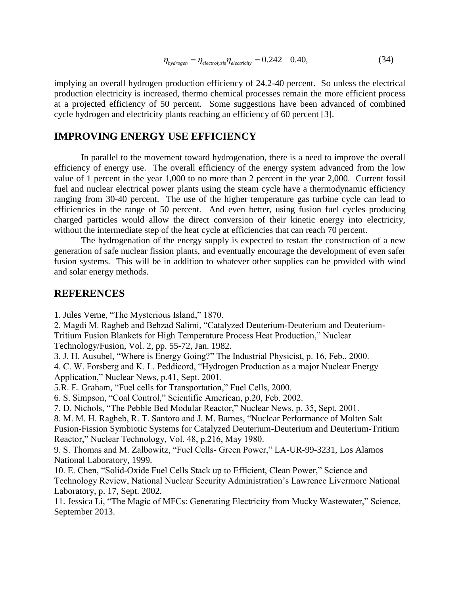$$
\eta_{\text{hydrogen}} = \eta_{\text{electrolysis}} \eta_{\text{electricity}} = 0.242 - 0.40,\tag{34}
$$

implying an overall hydrogen production efficiency of 24.2-40 percent. So unless the electrical production electricity is increased, thermo chemical processes remain the more efficient process at a projected efficiency of 50 percent. Some suggestions have been advanced of combined cycle hydrogen and electricity plants reaching an efficiency of 60 percent [3].

### **IMPROVING ENERGY USE EFFICIENCY**

In parallel to the movement toward hydrogenation, there is a need to improve the overall efficiency of energy use. The overall efficiency of the energy system advanced from the low value of 1 percent in the year 1,000 to no more than 2 percent in the year 2,000. Current fossil fuel and nuclear electrical power plants using the steam cycle have a thermodynamic efficiency ranging from 30-40 percent. The use of the higher temperature gas turbine cycle can lead to efficiencies in the range of 50 percent. And even better, using fusion fuel cycles producing charged particles would allow the direct conversion of their kinetic energy into electricity, without the intermediate step of the heat cycle at efficiencies that can reach 70 percent.

The hydrogenation of the energy supply is expected to restart the construction of a new generation of safe nuclear fission plants, and eventually encourage the development of even safer fusion systems. This will be in addition to whatever other supplies can be provided with wind and solar energy methods.

### **REFERENCES**

1. Jules Verne, "The Mysterious Island," 1870.

2. Magdi M. Ragheb and Behzad Salimi, "Catalyzed Deuterium-Deuterium and Deuterium-Tritium Fusion Blankets for High Temperature Process Heat Production," Nuclear

Technology/Fusion, Vol. 2, pp. 55-72, Jan. 1982.

3. J. H. Ausubel, "Where is Energy Going?" The Industrial Physicist, p. 16, Feb., 2000.

4. C. W. Forsberg and K. L. Peddicord, "Hydrogen Production as a major Nuclear Energy Application," Nuclear News, p.41, Sept. 2001.

5.R. E. Graham, "Fuel cells for Transportation," Fuel Cells, 2000.

6. S. Simpson, "Coal Control," Scientific American, p.20, Feb. 2002.

7. D. Nichols, "The Pebble Bed Modular Reactor," Nuclear News, p. 35, Sept. 2001.

8. M. M. H. Ragheb, R. T. Santoro and J. M. Barnes, "Nuclear Performance of Molten Salt Fusion-Fission Symbiotic Systems for Catalyzed Deuterium-Deuterium and Deuterium-Tritium Reactor," Nuclear Technology, Vol. 48, p.216, May 1980.

9. S. Thomas and M. Zalbowitz, "Fuel Cells- Green Power," LA-UR-99-3231, Los Alamos National Laboratory, 1999.

10. E. Chen, "Solid-Oxide Fuel Cells Stack up to Efficient, Clean Power," Science and Technology Review, National Nuclear Security Administration's Lawrence Livermore National Laboratory, p. 17, Sept. 2002.

11. Jessica Li, "The Magic of MFCs: Generating Electricity from Mucky Wastewater," Science, September 2013.